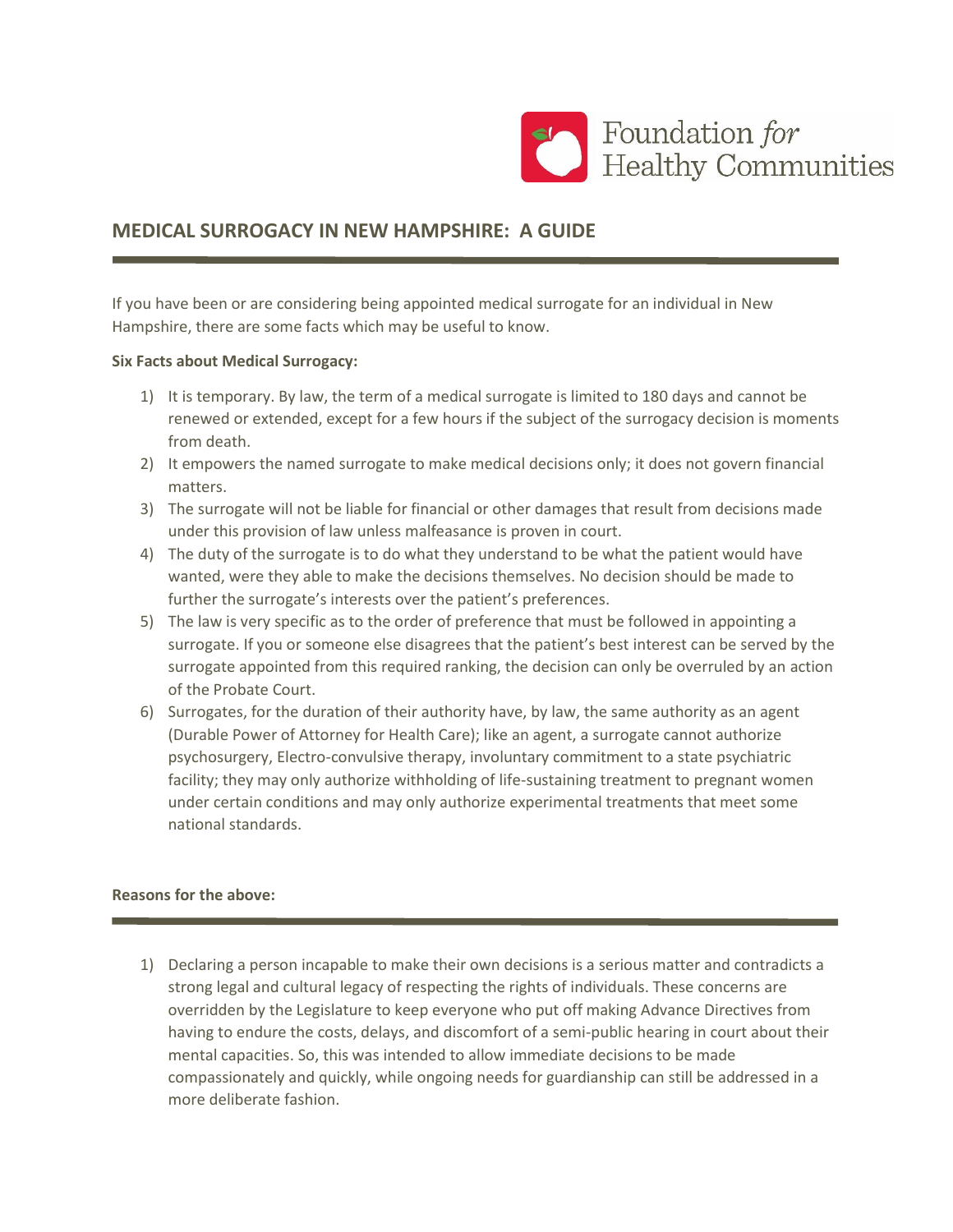

## **MEDICAL SURROGACY IN NEW HAMPSHIRE: A GUIDE**

If you have been or are considering being appointed medical surrogate for an individual in New Hampshire, there are some facts which may be useful to know.

## **Six Facts about Medical Surrogacy:**

- 1) It is temporary. By law, the term of a medical surrogate is limited to 180 days and cannot be renewed or extended, except for a few hours if the subject of the surrogacy decision is moments from death.
- 2) It empowers the named surrogate to make medical decisions only; it does not govern financial matters.
- 3) The surrogate will not be liable for financial or other damages that result from decisions made under this provision of law unless malfeasance is proven in court.
- 4) The duty of the surrogate is to do what they understand to be what the patient would have wanted, were they able to make the decisions themselves. No decision should be made to further the surrogate's interests over the patient's preferences.
- 5) The law is very specific as to the order of preference that must be followed in appointing a surrogate. If you or someone else disagrees that the patient's best interest can be served by the surrogate appointed from this required ranking, the decision can only be overruled by an action of the Probate Court.
- 6) Surrogates, for the duration of their authority have, by law, the same authority as an agent (Durable Power of Attorney for Health Care); like an agent, a surrogate cannot authorize psychosurgery, Electro-convulsive therapy, involuntary commitment to a state psychiatric facility; they may only authorize withholding of life-sustaining treatment to pregnant women under certain conditions and may only authorize experimental treatments that meet some national standards.

## **Reasons for the above:**

1) Declaring a person incapable to make their own decisions is a serious matter and contradicts a strong legal and cultural legacy of respecting the rights of individuals. These concerns are overridden by the Legislature to keep everyone who put off making Advance Directives from having to endure the costs, delays, and discomfort of a semi-public hearing in court about their mental capacities. So, this was intended to allow immediate decisions to be made compassionately and quickly, while ongoing needs for guardianship can still be addressed in a more deliberate fashion.